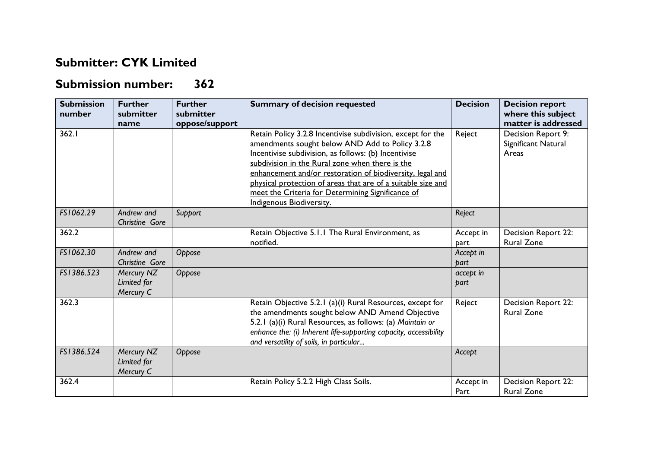## **Submitter: CYK Limited**

## **Submission number: 362**

| <b>Submission</b><br>number | <b>Further</b><br>submitter<br>name    | <b>Further</b><br>submitter<br>oppose/support | <b>Summary of decision requested</b>                                                                                                                                                                                                                                                                                                                                                                                                    | <b>Decision</b>   | <b>Decision report</b><br>where this subject<br>matter is addressed |
|-----------------------------|----------------------------------------|-----------------------------------------------|-----------------------------------------------------------------------------------------------------------------------------------------------------------------------------------------------------------------------------------------------------------------------------------------------------------------------------------------------------------------------------------------------------------------------------------------|-------------------|---------------------------------------------------------------------|
| 362.1                       |                                        |                                               | Retain Policy 3.2.8 Incentivise subdivision, except for the<br>amendments sought below AND Add to Policy 3.2.8<br>Incentivise subdivision, as follows: (b) Incentivise<br>subdivision in the Rural zone when there is the<br>enhancement and/or restoration of biodiversity, legal and<br>physical protection of areas that are of a suitable size and<br>meet the Criteria for Determining Significance of<br>Indigenous Biodiversity. | Reject            | Decision Report 9:<br>Significant Natural<br>Areas                  |
| FS1062.29                   | Andrew and<br>Christine Gore           | Support                                       |                                                                                                                                                                                                                                                                                                                                                                                                                                         | Reject            |                                                                     |
| 362.2                       |                                        |                                               | Retain Objective 5.1.1 The Rural Environment, as<br>notified.                                                                                                                                                                                                                                                                                                                                                                           | Accept in<br>part | <b>Decision Report 22:</b><br><b>Rural Zone</b>                     |
| FS1062.30                   | Andrew and<br>Christine Gore           | Oppose                                        |                                                                                                                                                                                                                                                                                                                                                                                                                                         | Accept in<br>bart |                                                                     |
| FS1386.523                  | Mercury NZ<br>Limited for<br>Mercury C | Oppose                                        |                                                                                                                                                                                                                                                                                                                                                                                                                                         | accept in<br>part |                                                                     |
| 362.3                       |                                        |                                               | Retain Objective 5.2.1 (a)(i) Rural Resources, except for<br>the amendments sought below AND Amend Objective<br>5.2.1 (a)(i) Rural Resources, as follows: (a) Maintain or<br>enhance the: (i) Inherent life-supporting capacity, accessibility<br>and versatility of soils, in particular                                                                                                                                               | Reject            | Decision Report 22:<br><b>Rural Zone</b>                            |
| FS1386.524                  | Mercury NZ<br>Limited for<br>Mercury C | Oppose                                        |                                                                                                                                                                                                                                                                                                                                                                                                                                         | Accept            |                                                                     |
| 362.4                       |                                        |                                               | Retain Policy 5.2.2 High Class Soils.                                                                                                                                                                                                                                                                                                                                                                                                   | Accept in<br>Part | <b>Decision Report 22:</b><br><b>Rural Zone</b>                     |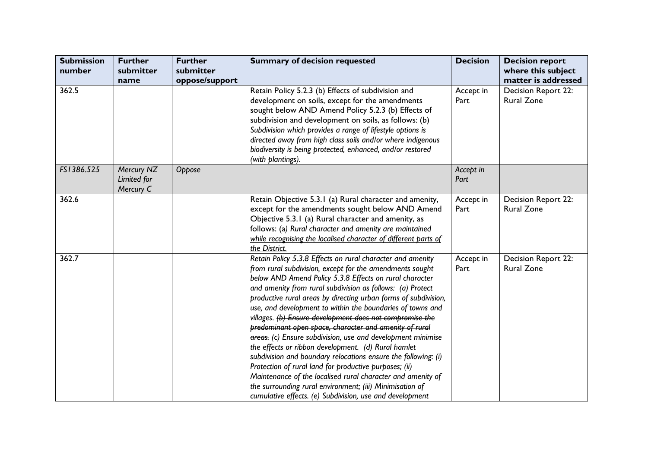| <b>Submission</b><br>number | <b>Further</b><br>submitter<br>name    | <b>Further</b><br>submitter<br>oppose/support | <b>Summary of decision requested</b>                                                                                                                                                                                                                                                                                                                                                                                                                                                                                                                                                                                                                                                                                                                                                                                                                                                                                                            | <b>Decision</b>   | <b>Decision report</b><br>where this subject<br>matter is addressed |
|-----------------------------|----------------------------------------|-----------------------------------------------|-------------------------------------------------------------------------------------------------------------------------------------------------------------------------------------------------------------------------------------------------------------------------------------------------------------------------------------------------------------------------------------------------------------------------------------------------------------------------------------------------------------------------------------------------------------------------------------------------------------------------------------------------------------------------------------------------------------------------------------------------------------------------------------------------------------------------------------------------------------------------------------------------------------------------------------------------|-------------------|---------------------------------------------------------------------|
| 362.5                       |                                        |                                               | Retain Policy 5.2.3 (b) Effects of subdivision and<br>development on soils, except for the amendments<br>sought below AND Amend Policy 5.2.3 (b) Effects of<br>subdivision and development on soils, as follows: (b)<br>Subdivision which provides a range of lifestyle options is<br>directed away from high class soils and/or where indigenous<br>biodiversity is being protected, enhanced, and/or restored<br>(with plantings).                                                                                                                                                                                                                                                                                                                                                                                                                                                                                                            | Accept in<br>Part | Decision Report 22:<br><b>Rural Zone</b>                            |
| FS1386.525                  | Mercury NZ<br>Limited for<br>Mercury C | Oppose                                        |                                                                                                                                                                                                                                                                                                                                                                                                                                                                                                                                                                                                                                                                                                                                                                                                                                                                                                                                                 | Accept in<br>Part |                                                                     |
| 362.6                       |                                        |                                               | Retain Objective 5.3.1 (a) Rural character and amenity,<br>except for the amendments sought below AND Amend<br>Objective 5.3.1 (a) Rural character and amenity, as<br>follows: (a) Rural character and amenity are maintained<br>while recognising the localised character of different parts of<br>the District.                                                                                                                                                                                                                                                                                                                                                                                                                                                                                                                                                                                                                               | Accept in<br>Part | Decision Report 22:<br><b>Rural Zone</b>                            |
| 362.7                       |                                        |                                               | Retain Policy 5.3.8 Effects on rural character and amenity<br>from rural subdivision, except for the amendments sought<br>below AND Amend Policy 5.3.8 Effects on rural character<br>and amenity from rural subdivision as follows: (a) Protect<br>productive rural areas by directing urban forms of subdivision,<br>use, and development to within the boundaries of towns and<br>villages. (b) Ensure development does not compromise the<br>predominant open space, character and amenity of rural<br>areas. (c) Ensure subdivision, use and development minimise<br>the effects or ribbon development. (d) Rural hamlet<br>subdivision and boundary relocations ensure the following: (i)<br>Protection of rural land for productive purposes; (ii)<br>Maintenance of the localised rural character and amenity of<br>the surrounding rural environment; (iii) Minimisation of<br>cumulative effects. (e) Subdivision, use and development | Accept in<br>Part | Decision Report 22:<br><b>Rural Zone</b>                            |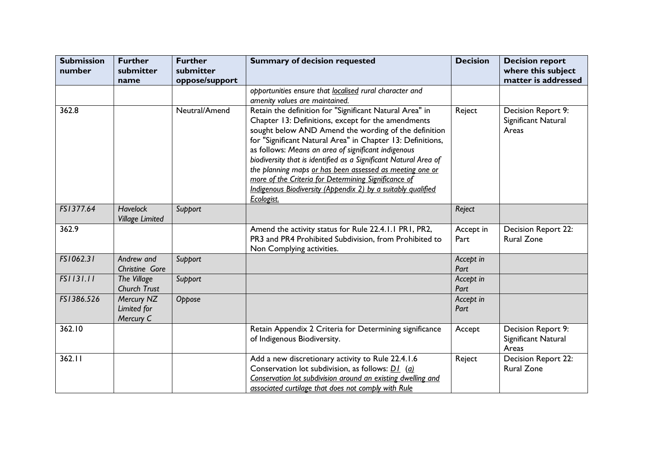| <b>Submission</b><br>number | <b>Further</b><br>submitter<br>name       | <b>Further</b><br>submitter<br>oppose/support | <b>Summary of decision requested</b>                                                                                                                                                                                                                                                                                                                                                                                                                                                                                                                             | <b>Decision</b>   | <b>Decision report</b><br>where this subject<br>matter is addressed |
|-----------------------------|-------------------------------------------|-----------------------------------------------|------------------------------------------------------------------------------------------------------------------------------------------------------------------------------------------------------------------------------------------------------------------------------------------------------------------------------------------------------------------------------------------------------------------------------------------------------------------------------------------------------------------------------------------------------------------|-------------------|---------------------------------------------------------------------|
|                             |                                           |                                               | opportunities ensure that localised rural character and<br>amenity values are maintained.                                                                                                                                                                                                                                                                                                                                                                                                                                                                        |                   |                                                                     |
| 362.8                       |                                           | Neutral/Amend                                 | Retain the definition for "Significant Natural Area" in<br>Chapter 13: Definitions, except for the amendments<br>sought below AND Amend the wording of the definition<br>for "Significant Natural Area" in Chapter 13: Definitions,<br>as follows: Means an area of significant indigenous<br>biodiversity that is identified as a Significant Natural Area of<br>the planning maps or has been assessed as meeting one or<br>more of the Criteria for Determining Significance of<br>Indigenous Biodiversity (Appendix 2) by a suitably qualified<br>Ecologist. | Reject            | Decision Report 9:<br>Significant Natural<br>Areas                  |
| FS1377.64                   | <b>Havelock</b><br><b>Village Limited</b> | Support                                       |                                                                                                                                                                                                                                                                                                                                                                                                                                                                                                                                                                  | Reject            |                                                                     |
| 362.9                       |                                           |                                               | Amend the activity status for Rule 22.4.1.1 PR1, PR2,<br>PR3 and PR4 Prohibited Subdivision, from Prohibited to<br>Non Complying activities.                                                                                                                                                                                                                                                                                                                                                                                                                     | Accept in<br>Part | Decision Report 22:<br><b>Rural Zone</b>                            |
| FS1062.31                   | Andrew and<br>Christine Gore              | Support                                       |                                                                                                                                                                                                                                                                                                                                                                                                                                                                                                                                                                  | Accept in<br>Part |                                                                     |
| FS1131.11                   | The Village<br>Church Trust               | Support                                       |                                                                                                                                                                                                                                                                                                                                                                                                                                                                                                                                                                  | Accept in<br>Part |                                                                     |
| FS1386.526                  | Mercury NZ<br>Limited for<br>Mercury C    | Oppose                                        |                                                                                                                                                                                                                                                                                                                                                                                                                                                                                                                                                                  | Accept in<br>Part |                                                                     |
| 362.10                      |                                           |                                               | Retain Appendix 2 Criteria for Determining significance<br>of Indigenous Biodiversity.                                                                                                                                                                                                                                                                                                                                                                                                                                                                           | Accept            | Decision Report 9:<br>Significant Natural<br>Areas                  |
| 362.11                      |                                           |                                               | Add a new discretionary activity to Rule 22.4.1.6<br>Conservation lot subdivision, as follows: $DI$ ( <i>a</i> )<br>Conservation lot subdivision around an existing dwelling and<br>associated curtilage that does not comply with Rule                                                                                                                                                                                                                                                                                                                          | Reject            | Decision Report 22:<br><b>Rural Zone</b>                            |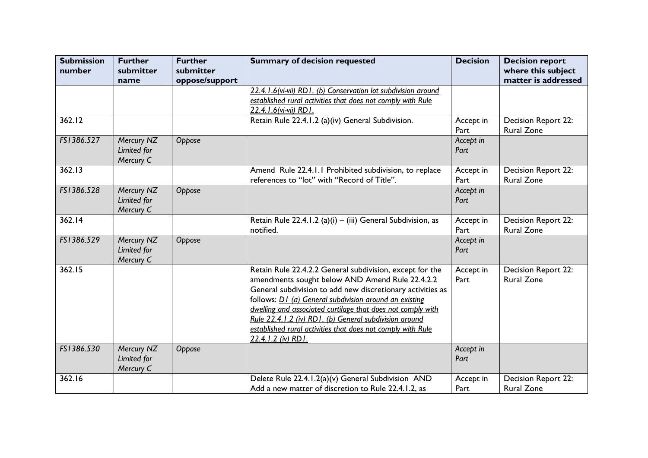| <b>Submission</b><br>number | <b>Further</b><br>submitter            | <b>Further</b><br>submitter | <b>Summary of decision requested</b>                                                                                                                                                                                                                                                                                                                                                                                                              | <b>Decision</b>   | <b>Decision report</b><br>where this subject |
|-----------------------------|----------------------------------------|-----------------------------|---------------------------------------------------------------------------------------------------------------------------------------------------------------------------------------------------------------------------------------------------------------------------------------------------------------------------------------------------------------------------------------------------------------------------------------------------|-------------------|----------------------------------------------|
|                             | name                                   | oppose/support              | 22.4.1.6(vi-vii) RD1. (b) Conservation lot subdivision around<br>established rural activities that does not comply with Rule                                                                                                                                                                                                                                                                                                                      |                   | matter is addressed                          |
|                             |                                        |                             | 22.4.1.6(vi-vii) RD1.                                                                                                                                                                                                                                                                                                                                                                                                                             |                   |                                              |
| 362.12                      |                                        |                             | Retain Rule 22.4.1.2 (a)(iv) General Subdivision.                                                                                                                                                                                                                                                                                                                                                                                                 | Accept in<br>Part | Decision Report 22:<br><b>Rural Zone</b>     |
| FS1386.527                  | Mercury NZ<br>Limited for<br>Mercury C | Oppose                      |                                                                                                                                                                                                                                                                                                                                                                                                                                                   | Accept in<br>Part |                                              |
| 362.13                      |                                        |                             | Amend Rule 22.4.1.1 Prohibited subdivision, to replace<br>references to "lot" with "Record of Title".                                                                                                                                                                                                                                                                                                                                             | Accept in<br>Part | Decision Report 22:<br><b>Rural Zone</b>     |
| FS1386.528                  | Mercury NZ<br>Limited for<br>Mercury C | Oppose                      |                                                                                                                                                                                                                                                                                                                                                                                                                                                   | Accept in<br>Part |                                              |
| 362.14                      |                                        |                             | Retain Rule 22.4.1.2 (a)(i) $-$ (iii) General Subdivision, as<br>notified.                                                                                                                                                                                                                                                                                                                                                                        | Accept in<br>Part | Decision Report 22:<br><b>Rural Zone</b>     |
| FS1386.529                  | Mercury NZ<br>Limited for<br>Mercury C | Oppose                      |                                                                                                                                                                                                                                                                                                                                                                                                                                                   | Accept in<br>Part |                                              |
| 362.15                      |                                        |                             | Retain Rule 22.4.2.2 General subdivision, except for the<br>amendments sought below AND Amend Rule 22.4.2.2<br>General subdivision to add new discretionary activities as<br>follows: D1 (a) General subdivision around an existing<br>dwelling and associated curtilage that does not comply with<br>Rule 22.4.1.2 (iv) RD1. (b) General subdivision around<br>established rural activities that does not comply with Rule<br>22.4.1.2 (iv) RD1. | Accept in<br>Part | Decision Report 22:<br><b>Rural Zone</b>     |
| FS1386.530                  | Mercury NZ<br>Limited for<br>Mercury C | Oppose                      |                                                                                                                                                                                                                                                                                                                                                                                                                                                   | Accept in<br>Part |                                              |
| 362.16                      |                                        |                             | Delete Rule 22.4.1.2(a)(v) General Subdivision AND<br>Add a new matter of discretion to Rule 22.4.1.2, as                                                                                                                                                                                                                                                                                                                                         | Accept in<br>Part | Decision Report 22:<br><b>Rural Zone</b>     |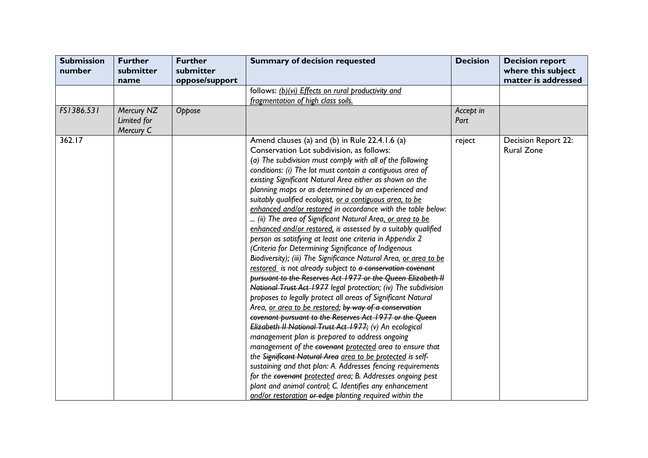| <b>Submission</b><br>number | <b>Further</b><br>submitter<br>name    | <b>Further</b><br>submitter<br>oppose/support | <b>Summary of decision requested</b>                                                                                                                                                                                                                                                                                                                                                                                                                                                                                                                                                                                                                                                                                                                                                                                                                                                                                                                                                                                                                                                                                                                                                                                                                                                                                                                                                                                                                                                                                                                                                                                                                                       | <b>Decision</b>   | <b>Decision report</b><br>where this subject<br>matter is addressed |
|-----------------------------|----------------------------------------|-----------------------------------------------|----------------------------------------------------------------------------------------------------------------------------------------------------------------------------------------------------------------------------------------------------------------------------------------------------------------------------------------------------------------------------------------------------------------------------------------------------------------------------------------------------------------------------------------------------------------------------------------------------------------------------------------------------------------------------------------------------------------------------------------------------------------------------------------------------------------------------------------------------------------------------------------------------------------------------------------------------------------------------------------------------------------------------------------------------------------------------------------------------------------------------------------------------------------------------------------------------------------------------------------------------------------------------------------------------------------------------------------------------------------------------------------------------------------------------------------------------------------------------------------------------------------------------------------------------------------------------------------------------------------------------------------------------------------------------|-------------------|---------------------------------------------------------------------|
|                             |                                        |                                               | follows: (b)(vi) Effects on rural productivity and                                                                                                                                                                                                                                                                                                                                                                                                                                                                                                                                                                                                                                                                                                                                                                                                                                                                                                                                                                                                                                                                                                                                                                                                                                                                                                                                                                                                                                                                                                                                                                                                                         |                   |                                                                     |
| FS1386.531                  | Mercury NZ<br>Limited for<br>Mercury C | Oppose                                        | fragmentation of high class soils.                                                                                                                                                                                                                                                                                                                                                                                                                                                                                                                                                                                                                                                                                                                                                                                                                                                                                                                                                                                                                                                                                                                                                                                                                                                                                                                                                                                                                                                                                                                                                                                                                                         | Accept in<br>Part |                                                                     |
| 362.17                      |                                        |                                               | Amend clauses (a) and (b) in Rule 22.4.1.6 (a)<br>Conservation Lot subdivision, as follows:<br>(a) The subdivision must comply with all of the following<br>conditions: (i) The lot must contain a contiguous area of<br>existing Significant Natural Area either as shown on the<br>planning maps or as determined by an experienced and<br>suitably qualified ecologist, or a contiguous area, to be<br>enhanced and/or restored in accordance with the table below:<br>(ii) The area of Significant Natural Area, or area to be<br>enhanced and/or restored, is assessed by a suitably qualified<br>person as satisfying at least one criteria in Appendix 2<br>(Criteria for Determining Significance of Indigenous<br>Biodiversity); (iii) The Significance Natural Area, or area to be<br>restored is not already subject to a conservation covenant<br>pursuant to the Reserves Act 1977 or the Queen Elizabeth II<br>National Trust Act 1977 legal protection; (iv) The subdivision<br>proposes to legally protect all areas of Significant Natural<br>Area, or area to be restored; by way of a conservation<br>covenant pursuant to the Reserves Act 1977 or the Queen<br>Elizabeth II National Trust Act 1977; (v) An ecological<br>management plan is prepared to address ongoing<br>management of the covenant protected area to ensure that<br>the Significant Natural Area area to be protected is self-<br>sustaining and that plan: A. Addresses fencing requirements<br>for the covenant protected area; B. Addresses ongoing pest<br>plant and animal control; C. Identifies any enhancement<br>and/or restoration or edge planting required within the | reject            | <b>Decision Report 22:</b><br><b>Rural Zone</b>                     |